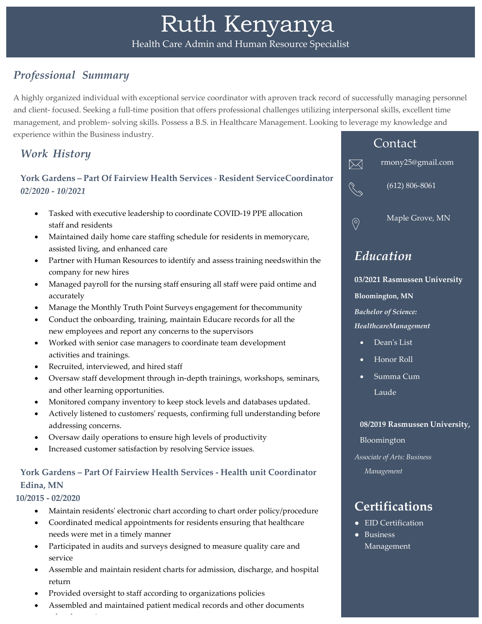## *Professional Summary*

A highly organized individual with exceptional service coordinator with aproven track record of successfully managing personnel and client- focused. Seeking a full-time position that offers professional challenges utilizing interpersonal skills, excellent time management, and problem- solving skills. Possess a B.S. in Healthcare Management. Looking to leverage my knowledge and experience within the Business industry.

## *Work History*

### **York Gardens – Part Of Fairview Health Services** - **Resident ServiceCoordinator** *02/2020 - 10/2021*

- Tasked with executive leadership to coordinate COVID-19 PPE allocation staff and residents
- Maintained daily home care staffing schedule for residents in memorycare, assisted living, and enhanced care
- Partner with Human Resources to identify and assess training needswithin the company for new hires
- Managed payroll for the nursing staff ensuring all staff were paid ontime and accurately
- Manage the Monthly Truth Point Surveys engagement for thecommunity
- Conduct the onboarding, training, maintain Educare records for all the new employees and report any concerns to the supervisors
- Worked with senior case managers to coordinate team development activities and trainings.
- Recruited, interviewed, and hired staff
- Oversaw staff development through in-depth trainings, workshops, seminars, and other learning opportunities.
- Monitored company inventory to keep stock levels and databases updated.
- Actively listened to customers' requests, confirming full understanding before addressing concerns.
- Oversaw daily operations to ensure high levels of productivity
- Increased customer satisfaction by resolving Service issues.

## **York Gardens – Part Of Fairview Health Services - Health unit Coordinator Edina, MN**

#### **10/2015 - 02/2020**

l d i

- Maintain residents' electronic chart according to chart order policy/procedure
- Coordinated medical appointments for residents ensuring that healthcare needs were met in a timely manner
- Participated in audits and surveys designed to measure quality care and service
- Assemble and maintain resident charts for admission, discharge, and hospital return
- Provided oversight to staff according to organizations policies
- Assembled and maintained patient medical records and other documents



rmony25@gmail.com

 $\boxtimes$ 

.<br>Co

 $\circledcirc$ 

(612) 806-8061

Maple Grove, MN

# *Education*

**03/2021 Rasmussen University Bloomington, MN** *Bachelor of Science: HealthcareManagement*

- Dean's List
- Honor Roll
- Summa Cum **Laude**

#### **08/2019 Rasmussen University,**

Bloomington *Associate of Arts: Business*

*Management*

# **Certifications**

- EID Certification
- Business Management